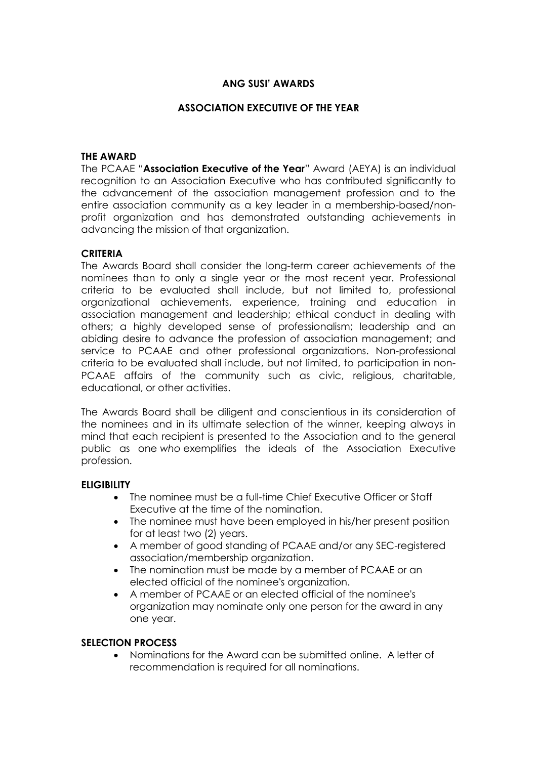## **ANG SUSI' AWARDS**

### **ASSOCIATION EXECUTIVE OF THE YEAR**

#### **THE AWARD**

The PCAAE "**Association Executive of the Year**" Award (AEYA) is an individual recognition to an Association Executive who has contributed significantly to the advancement of the association management profession and to the entire association community as a key leader in a membership-based/nonprofit organization and has demonstrated outstanding achievements in advancing the mission of that organization.

#### **CRITERIA**

The Awards Board shall consider the long-term career achievements of the nominees than to only a single year or the most recent year. Professional criteria to be evaluated shall include, but not limited to, professional organizational achievements, experience, training and education in association management and leadership; ethical conduct in dealing with others; a highly developed sense of professionalism; leadership and an abiding desire to advance the profession of association management; and service to PCAAE and other professional organizations. Non-professional criteria to be evaluated shall include, but not limited, to participation in non-PCAAE affairs of the community such as civic, religious, charitable, educational, or other activities.

The Awards Board shall be diligent and conscientious in its consideration of the nominees and in its ultimate selection of the winner, keeping always in mind that each recipient is presented to the Association and to the general public as one *who* exemplifies the ideals of the Association Executive profession.

### **ELIGIBILITY**

- The nominee must be a full-time Chief Executive Officer or Staff Executive at the time of the nomination.
- The nominee must have been employed in his/her present position for at least two (2) years.
- A member of good standing of PCAAE and/or any SEC-registered association/membership organization.
- The nomination must be made by a member of PCAAE or an elected official of the nominee's organization.
- A member of PCAAE or an elected official of the nominee's organization may nominate only one person for the award in any one year.

### **SELECTION PROCESS**

 Nominations for the Award can be submitted online. A letter of recommendation is required for all nominations.